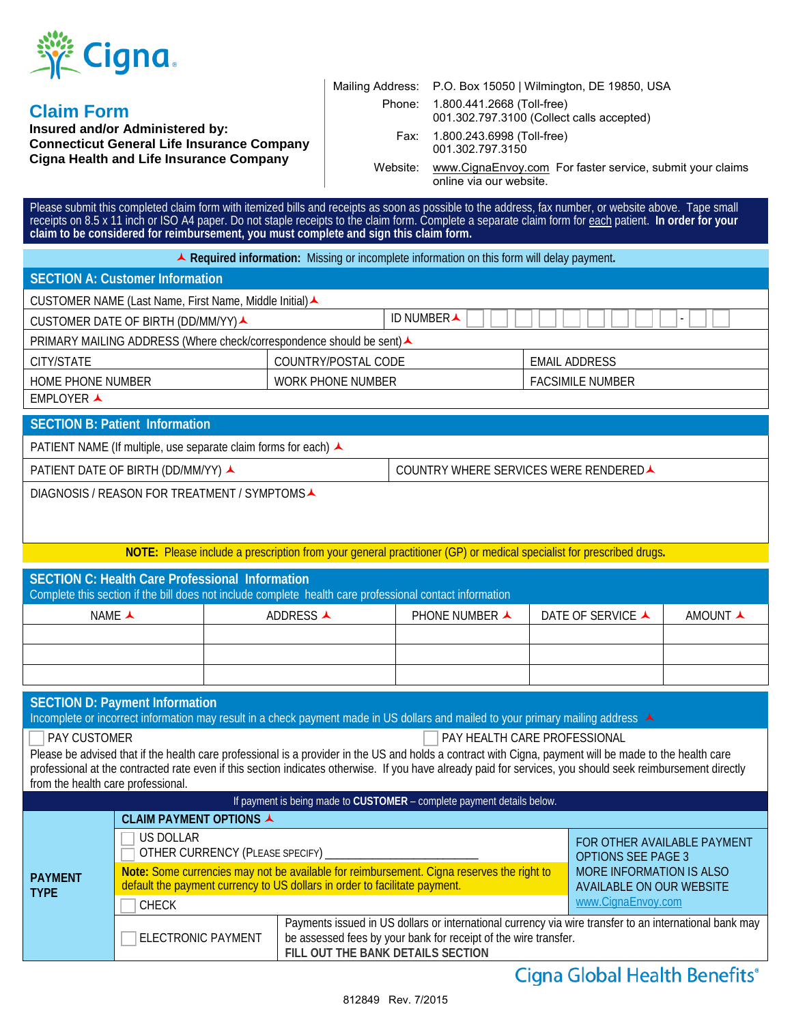

## **Claim Form**

**Insured and/or Administered by: Connecticut General Life Insurance Company Cigna Health and Life Insurance Company**

| Mailing Address: P.O. Box 15050   Wilmington, DE 19850, USA                    |
|--------------------------------------------------------------------------------|
| Phone: 1.800.441.2668 (Toll-free)<br>001.302.797.3100 (Collect calls accepted) |
| Fax: 1.800.243.6998 (Toll-free)<br>001.302.797.3150                            |

online via our website.

Website: [www.CignaEnvoy.com](http://www.cignaenvoy.com/) For faster service, submit your claims

Please submit this completed claim form with itemized bills and receipts as soon as possible to the address, fax number, or website above. Tape small receipts on 8.5 x 11 inch or ISO A4 paper. Do not staple receipts to the claim form. Complete a separate claim form for each patient. **In order for your claim to be considered for reimbursement, you must complete and sign this claim form.**

**Required information:** Missing or incomplete information on this form will delay payment**.**

| SECTION A: Customer Information                                              |                     |  |                         |
|------------------------------------------------------------------------------|---------------------|--|-------------------------|
| CUSTOMER NAME (Last Name, First Name, Middle Initial) <b>▲</b>               |                     |  |                         |
| ID NUMBERA<br>CUSTOMER DATE OF BIRTH (DD/MM/YY)▲<br>$\overline{\phantom{0}}$ |                     |  |                         |
| PRIMARY MAILING ADDRESS (Where check/correspondence should be sent) ▲        |                     |  |                         |
| CITY/STATE                                                                   | COUNTRY/POSTAL CODE |  | EMAIL ADDRESS           |
| <b>HOME PHONE NUMBER</b>                                                     | WORK PHONE NUMBER   |  | <b>FACSIMILE NUMBER</b> |
| EMPLOYER A                                                                   |                     |  |                         |

**SECTION B: Patient Information**  PATIENT NAME (If multiple, use separate claim forms for each) ▲ PATIENT DATE OF BIRTH (DD/MM/YY) A COUNTRY WHERE SERVICES WERE RENDERED DIAGNOSIS / REASON FOR TREATMENT / SYMPTOMS▲

**NOTE:** Please include a prescription from your general practitioner (GP) or medical specialist for prescribed drugs**.**

| SECTION C: Health Care Professional Information<br>Complete this section if the bill does not include complete health care professional contact information |           |                          |                   |          |
|-------------------------------------------------------------------------------------------------------------------------------------------------------------|-----------|--------------------------|-------------------|----------|
| NAME $\triangle$                                                                                                                                            | ADDRESS A | PHONE NUMBER $\triangle$ | DATE OF SERVICE ▲ | AMOUNT A |
|                                                                                                                                                             |           |                          |                   |          |
|                                                                                                                                                             |           |                          |                   |          |
|                                                                                                                                                             |           |                          |                   |          |

#### **SECTION D: Payment Information**

Incomplete or incorrect information may result in a check payment made in US dollars and mailed to your primary mailing address  $\blacktriangle$ 

PAY CUSTOMER PAY CUSTOMER PAY CUSTOMER PAY CUSTOMER

Please be advised that if the health care professional is a provider in the US and holds a contract with Cigna, payment will be made to the health care professional at the contracted rate even if this section indicates otherwise. If you have already paid for services, you should seek reimbursement directly from the health care professional.

| If payment is being made to CUSTOMER - complete payment details below. |                                                                                                                                                                         |                                                                                                                                                                                                                |                                                             |  |
|------------------------------------------------------------------------|-------------------------------------------------------------------------------------------------------------------------------------------------------------------------|----------------------------------------------------------------------------------------------------------------------------------------------------------------------------------------------------------------|-------------------------------------------------------------|--|
| <b>PAYMENT</b><br><b>TYPE</b>                                          | CLAIM PAYMENT OPTIONS ▲                                                                                                                                                 |                                                                                                                                                                                                                |                                                             |  |
|                                                                        | US DOLLAR<br>OTHER CURRENCY (PLEASE SPECIFY) _________                                                                                                                  |                                                                                                                                                                                                                | FOR OTHER AVAILABLE PAYMENT<br><b>OPTIONS SEE PAGE 3</b>    |  |
|                                                                        | Note: Some currencies may not be available for reimbursement. Cigna reserves the right to<br>default the payment currency to US dollars in order to facilitate payment. |                                                                                                                                                                                                                | MORE INFORMATION IS ALSO<br><b>AVAILABLE ON OUR WEBSITE</b> |  |
|                                                                        | <b>CHECK</b>                                                                                                                                                            |                                                                                                                                                                                                                | www.CignaEnvoy.com                                          |  |
|                                                                        | <b>ELECTRONIC PAYMENT</b>                                                                                                                                               | Payments issued in US dollars or international currency via wire transfer to an international bank may<br>be assessed fees by your bank for receipt of the wire transfer.<br>FILL OUT THE BANK DETAILS SECTION |                                                             |  |

# Cigna Global Health Benefits®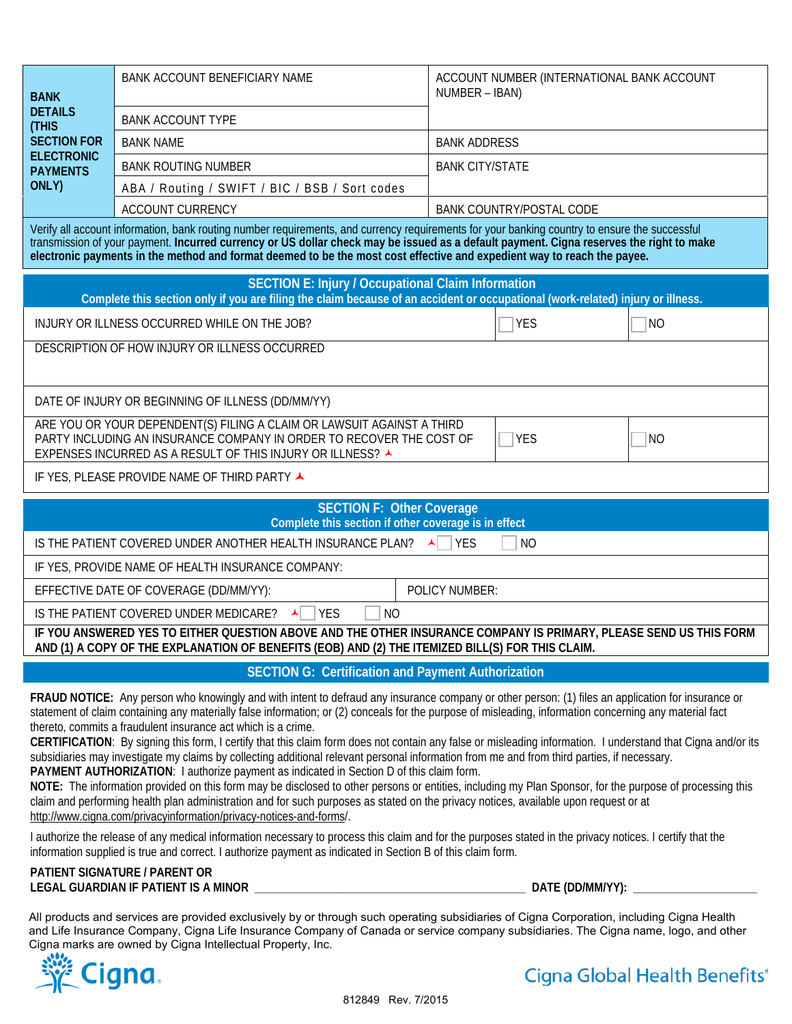| <b>BANK</b>                          | BANK ACCOUNT BENEFICIARY NAME                  | ACCOUNT NUMBER (INTERNATIONAL BANK ACCOUNT<br>NUMBER – IBAN) |  |
|--------------------------------------|------------------------------------------------|--------------------------------------------------------------|--|
| <b>DETAILS</b><br>(THIS              | <b>BANK ACCOUNT TYPE</b>                       |                                                              |  |
| <b>SECTION FOR</b>                   | <b>BANK NAME</b>                               | <b>BANK ADDRESS</b>                                          |  |
| <b>ELECTRONIC</b><br><b>PAYMENTS</b> | <b>BANK ROUTING NUMBER</b>                     | <b>BANK CITY/STATE</b>                                       |  |
| ONLY)                                | ABA / Routing / SWIFT / BIC / BSB / Sort codes |                                                              |  |
|                                      | <b>ACCOUNT CURRENCY</b>                        | BANK COUNTRY/POSTAL CODE                                     |  |

Verify all account information, bank routing number requirements, and currency requirements for your banking country to ensure the successful transmission of your payment. **Incurred currency or US dollar check may be issued as a default payment. Cigna reserves the right to make electronic payments in the method and format deemed to be the most cost effective and expedient way to reach the payee.**

| <b>SECTION E: Injury / Occupational Claim Information</b><br>Complete this section only if you are filing the claim because of an accident or occupational (work-related) injury or illness.                          |                |            |           |
|-----------------------------------------------------------------------------------------------------------------------------------------------------------------------------------------------------------------------|----------------|------------|-----------|
| INJURY OR ILLNESS OCCURRED WHILE ON THE JOB?                                                                                                                                                                          |                | YES        | NO        |
| DESCRIPTION OF HOW INJURY OR ILLNESS OCCURRED                                                                                                                                                                         |                |            |           |
| DATE OF INJURY OR BEGINNING OF ILLNESS (DD/MM/YY)                                                                                                                                                                     |                |            |           |
| ARE YOU OR YOUR DEPENDENT(S) FILING A CLAIM OR LAWSUIT AGAINST A THIRD<br>PARTY INCLUDING AN INSURANCE COMPANY IN ORDER TO RECOVER THE COST OF<br>EXPENSES INCURRED AS A RESULT OF THIS INJURY OR ILLNESS? ▲          |                | <b>YES</b> | <b>NO</b> |
| IF YES, PLEASE PROVIDE NAME OF THIRD PARTY ▲                                                                                                                                                                          |                |            |           |
| <b>SECTION F: Other Coverage</b><br>Complete this section if other coverage is in effect                                                                                                                              |                |            |           |
| IS THE PATIENT COVERED UNDER ANOTHER HEALTH INSURANCE PLAN?<br><b>YES</b><br>N <sub>O</sub>                                                                                                                           |                |            |           |
| IF YES, PROVIDE NAME OF HEALTH INSURANCE COMPANY:                                                                                                                                                                     |                |            |           |
| EFFECTIVE DATE OF COVERAGE (DD/MM/YY):                                                                                                                                                                                | POLICY NUMBER: |            |           |
| <b>YFS</b><br>IS THE PATIENT COVERED UNDER MEDICARE?<br>N <sub>O</sub>                                                                                                                                                |                |            |           |
| IF YOU ANSWERED YES TO EITHER QUESTION ABOVE AND THE OTHER INSURANCE COMPANY IS PRIMARY, PLEASE SEND US THIS FORM<br>AND (1) A COPY OF THE EXPLANATION OF BENEFITS (EOB) AND (2) THE ITEMIZED BILL(S) FOR THIS CLAIM. |                |            |           |
| <b>SECTION G: Certification and Payment Authorization</b>                                                                                                                                                             |                |            |           |

**FRAUD NOTICE:** Any person who knowingly and with intent to defraud any insurance company or other person: (1) files an application for insurance or statement of claim containing any materially false information; or (2) conceals for the purpose of misleading, information concerning any material fact thereto, commits a fraudulent insurance act which is a crime.

**CERTIFICATION**: By signing this form, I certify that this claim form does not contain any false or misleading information. I understand that Cigna and/or its subsidiaries may investigate my claims by collecting additional relevant personal information from me and from third parties, if necessary. **PAYMENT AUTHORIZATION**: I authorize payment as indicated in Section D of this claim form.

**NOTE:** The information provided on this form may be disclosed to other persons or entities, including my Plan Sponsor, for the purpose of processing this claim and performing health plan administration and for such purposes as stated on the privacy notices, available upon request or at http://www.cigna.com/privacyinformation/privacy-notices-and-forms/.

I authorize the release of any medical information necessary to process this claim and for the purposes stated in the privacy notices. I certify that the information supplied is true and correct. I authorize payment as indicated in Section B of this claim form.

#### **PATIENT SIGNATURE / PARENT OR LEGAL GUARDIAN IF PATIENT IS A MINOR \_\_\_\_\_\_\_\_\_\_\_\_\_\_\_\_\_\_\_\_\_\_\_\_\_\_\_\_\_\_\_\_\_\_\_\_\_\_\_\_\_\_\_\_\_\_ DATE (DD/MM/YY): \_\_\_\_\_\_\_\_\_\_\_\_\_\_\_\_\_\_\_\_\_**

All products and services are provided exclusively by or through such operating subsidiaries of Cigna Corporation, including Cigna Health and Life Insurance Company, Cigna Life Insurance Company of Canada or service company subsidiaries. The Cigna name, logo, and other Cigna marks are owned by Cigna Intellectual Property, Inc.



Cigna Global Health Benefits®